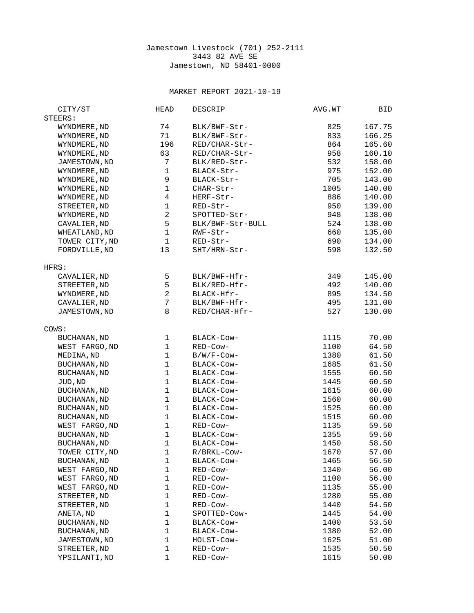## Jamestown Livestock (701) 252-2111 3443 82 AVE SE Jamestown, ND 58401-0000

## MARKET REPORT 2021-10-19

| CITY/ST             | <b>HEAD</b>              | <b>DESCRIP</b>   | AVG.WT | BID    |
|---------------------|--------------------------|------------------|--------|--------|
| STEERS:             |                          |                  |        |        |
| WYNDMERE, ND        | 74                       | BLK/BWF-Str-     | 825    | 167.75 |
| WYNDMERE, ND        | 71                       | BLK/BWF-Str-     | 833    | 166.25 |
| WYNDMERE, ND        | 196                      | RED/CHAR-Str-    | 864    | 165.60 |
| WYNDMERE, ND        | 63                       | RED/CHAR-Str-    | 958    | 160.10 |
| JAMESTOWN, ND       | 7                        | BLK/RED-Str-     | 532    | 158.00 |
|                     | $\mathbf{1}$             |                  |        |        |
| WYNDMERE, ND        |                          | BLACK-Str-       | 975    | 152.00 |
| WYNDMERE, ND        | 9                        | BLACK-Str-       | 705    | 143.00 |
| WYNDMERE, ND        | $\mathbf{1}$             | CHAR-Str-        | 1005   | 140.00 |
| WYNDMERE, ND        | $\overline{\mathcal{L}}$ | HERF-Str-        | 886    | 140.00 |
| STREETER, ND        | $\mathbf{1}$             | RED-Str-         | 950    | 139.00 |
| WYNDMERE, ND        | $\boldsymbol{2}$         | SPOTTED-Str-     | 948    | 138.00 |
| CAVALIER, ND        | 5                        | BLK/BWF-Str-BULL | 524    | 138.00 |
| WHEATLAND, ND       | $\mathbf 1$              | RWF-Str-         | 660    | 135.00 |
| TOWER CITY, ND      | $\mathbf{1}$             | RED-Str-         | 690    | 134.00 |
| FORDVILLE, ND       | 13                       | SHT/HRN-Str-     | 598    | 132.50 |
|                     |                          |                  |        |        |
| HFRS:               |                          |                  |        |        |
| CAVALIER, ND        | 5                        | BLK/BWF-Hfr-     | 349    | 145.00 |
| STREETER, ND        | 5                        | BLK/RED-Hfr-     | 492    | 140.00 |
| WYNDMERE, ND        | $\overline{c}$           | BLACK-Hfr-       | 895    | 134.50 |
| CAVALIER, ND        | 7                        | BLK/BWF-Hfr-     | 495    | 131.00 |
|                     | 8                        |                  | 527    |        |
| JAMESTOWN, ND       |                          | RED/CHAR-Hfr-    |        | 130.00 |
|                     |                          |                  |        |        |
| COWS:               |                          |                  |        |        |
| <b>BUCHANAN, ND</b> | 1                        | BLACK-COW-       | 1115   | 70.00  |
| WEST FARGO, ND      | $\mathbf{1}$             | RED-Cow-         | 1100   | 64.50  |
| MEDINA, ND          | $\mathbf 1$              | B/W/F-Cow-       | 1380   | 61.50  |
| <b>BUCHANAN, ND</b> | $\mathbf{1}$             | BLACK-COW-       | 1685   | 61.50  |
| BUCHANAN, ND        | $\mathbf 1$              | BLACK-COW-       | 1555   | 60.50  |
| JUD, ND             | $\mathbf{1}$             | BLACK-COW-       | 1445   | 60.50  |
| <b>BUCHANAN, ND</b> | $\mathbf 1$              | BLACK-Cow-       | 1615   | 60.00  |
| <b>BUCHANAN, ND</b> | 1                        | BLACK-Cow-       | 1560   | 60.00  |
| <b>BUCHANAN, ND</b> | $\mathbf 1$              | BLACK-Cow-       | 1525   | 60.00  |
| <b>BUCHANAN, ND</b> | $\mathbf{1}$             | BLACK-Cow-       | 1515   | 60.00  |
| WEST FARGO, ND      | $\mathbf{1}$             | RED-Cow-         | 1135   | 59.50  |
| <b>BUCHANAN, ND</b> | $\mathbf{1}$             | BLACK-Cow-       | 1355   | 59.50  |
| <b>BUCHANAN, ND</b> | $\mathbf{1}$             | BLACK-COW-       | 1450   | 58.50  |
| TOWER CITY, ND      | $\mathbf{1}$             | R/BRKL-Cow-      | 1670   | 57.00  |
| <b>BUCHANAN, ND</b> | 1                        | BLACK-Cow-       | 1465   | 56.50  |
|                     | $\mathbf{1}$             |                  |        |        |
| WEST FARGO, ND      |                          | RED-Cow-         | 1340   | 56.00  |
| WEST FARGO, ND      | $\mathbf{1}$             | RED-Cow-         | 1100   | 56.00  |
| WEST FARGO, ND      | $\mathbf{1}$             | RED-Cow-         | 1135   | 55.00  |
| STREETER, ND        | $\mathbf{1}$             | RED-Cow-         | 1280   | 55.00  |
| STREETER, ND        | $\mathbf{1}$             | RED-Cow-         | 1440   | 54.50  |
| ANETA, ND           | $\mathbf{1}$             | SPOTTED-Cow-     | 1445   | 54.00  |
| <b>BUCHANAN, ND</b> | $\mathbf{1}$             | BLACK-COW-       | 1400   | 53.50  |
| <b>BUCHANAN, ND</b> | 1                        | BLACK-COW-       | 1380   | 52.00  |
| JAMESTOWN, ND       | $\mathbf{1}$             | HOLST-COW-       | 1625   | 51.00  |
| STREETER, ND        | 1                        | RED-Cow-         | 1535   | 50.50  |
| YPSILANTI, ND       | $\mathbf{1}$             | RED-Cow-         | 1615   | 50.00  |